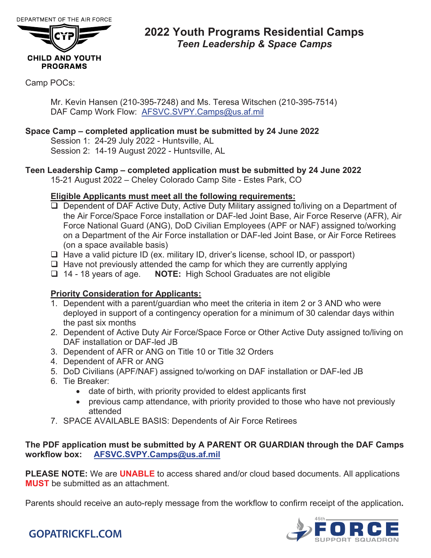

### **2022 Youth Programs Residential Camps** *Teen Leadership & Space Camps*

### Camp POCs:

Mr. Kevin Hansen (210-395-7248) and Ms. Teresa Witschen (210-395-7514) DAF Camp Work Flow: AFSVC.SVPY.Camps@us.af.mil

### **Space Camp – completed application must be submitted by 24 June 2022**

Session 1: 24-29 July 2022 - Huntsville, AL Session 2: 14-19 August 2022 - Huntsville, AL

### **Teen Leadership Camp – completed application must be submitted by 24 June 2022**

15-21 August 2022 – Cheley Colorado Camp Site - Estes Park, CO

### **Eligible Applicants must meet all the following requirements:**

- □ Dependent of DAF Active Duty, Active Duty Military assigned to/living on a Department of the Air Force/Space Force installation or DAF-led Joint Base, Air Force Reserve (AFR), Air Force National Guard (ANG), DoD Civilian Employees (APF or NAF) assigned to/working on a Department of the Air Force installation or DAF-led Joint Base, or Air Force Retirees (on a space available basis)
- □ Have a valid picture ID (ex. military ID, driver's license, school ID, or passport)
- $\Box$  Have not previously attended the camp for which they are currently applying
- 14 18 years of age. **NOTE:** High School Graduates are not eligible

### **Priority Consideration for Applicants:**

- 1. Dependent with a parent/guardian who meet the criteria in item 2 or 3 AND who were deployed in support of a contingency operation for a minimum of 30 calendar days within the past six months
- 2. Dependent of Active Duty Air Force/Space Force or Other Active Duty assigned to/living on DAF installation or DAF-led JB
- 3. Dependent of AFR or ANG on Title 10 or Title 32 Orders
- 4. Dependent of AFR or ANG
- 5. DoD Civilians (APF/NAF) assigned to/working on DAF installation or DAF-led JB
- 6. Tie Breaker:
	- date of birth, with priority provided to eldest applicants first
	- previous camp attendance, with priority provided to those who have not previously attended
- 7. SPACE AVAILABLE BASIS: Dependents of Air Force Retirees

### **The PDF application must be submitted by A PARENT OR GUARDIAN through the DAF Camps workflow box: AFSVC.SVPY.Camps@us.af.mil**

**PLEASE NOTE:** We are **UNABLE** to access shared and/or cloud based documents. All applications **MUST** be submitted as an attachment.

Parents should receive an auto-reply message from the workflow to confirm receipt of the application**.**



## **GOPATRICKFL.COM**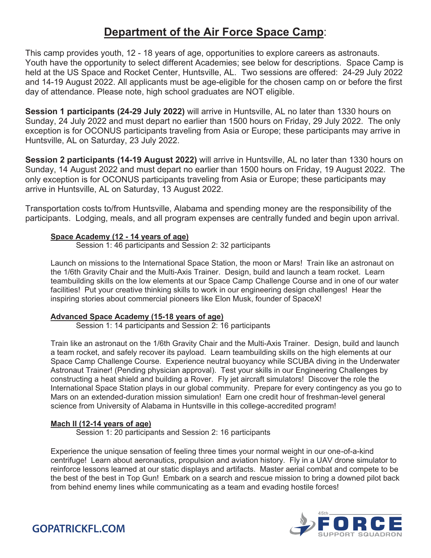## **Department of the Air Force Space Camp**:

This camp provides youth, 12 - 18 years of age, opportunities to explore careers as astronauts. Youth have the opportunity to select different Academies; see below for descriptions. Space Camp is held at the US Space and Rocket Center, Huntsville, AL. Two sessions are offered: 24-29 July 2022 and 14-19 August 2022. All applicants must be age-eligible for the chosen camp on or before the first day of attendance. Please note, high school graduates are NOT eligible.

**Session 1 participants (24-29 July 2022)** will arrive in Huntsville, AL no later than 1330 hours on Sunday, 24 July 2022 and must depart no earlier than 1500 hours on Friday, 29 July 2022. The only exception is for OCONUS participants traveling from Asia or Europe; these participants may arrive in Huntsville, AL on Saturday, 23 July 2022.

**Session 2 participants (14-19 August 2022)** will arrive in Huntsville, AL no later than 1330 hours on Sunday, 14 August 2022 and must depart no earlier than 1500 hours on Friday, 19 August 2022. The only exception is for OCONUS participants traveling from Asia or Europe; these participants may arrive in Huntsville, AL on Saturday, 13 August 2022.

Transportation costs to/from Huntsville, Alabama and spending money are the responsibility of the participants. Lodging, meals, and all program expenses are centrally funded and begin upon arrival.

### **Space Academy (12 - 14 years of age)**

Session 1: 46 participants and Session 2: 32 participants

Launch on missions to the International Space Station, the moon or Mars! Train like an astronaut on the 1/6th Gravity Chair and the Multi-Axis Trainer. Design, build and launch a team rocket. Learn teambuilding skills on the low elements at our Space Camp Challenge Course and in one of our water facilities! Put your creative thinking skills to work in our engineering design challenges! Hear the inspiring stories about commercial pioneers like Elon Musk, founder of SpaceX!

### **Advanced Space Academy (15-18 years of age)**

Session 1: 14 participants and Session 2: 16 participants

Train like an astronaut on the 1/6th Gravity Chair and the Multi-Axis Trainer. Design, build and launch a team rocket, and safely recover its payload. Learn teambuilding skills on the high elements at our Space Camp Challenge Course. Experience neutral buoyancy while SCUBA diving in the Underwater Astronaut Trainer! (Pending physician approval). Test your skills in our Engineering Challenges by constructing a heat shield and building a Rover. Fly jet aircraft simulators! Discover the role the International Space Station plays in our global community. Prepare for every contingency as you go to Mars on an extended-duration mission simulation! Earn one credit hour of freshman-level general science from University of Alabama in Huntsville in this college-accredited program!

### **Mach II (12-14 years of age)**

Session 1: 20 participants and Session 2: 16 participants

Experience the unique sensation of feeling three times your normal weight in our one-of-a-kind centrifuge! Learn about aeronautics, propulsion and aviation history. Fly in a UAV drone simulator to reinforce lessons learned at our static displays and artifacts. Master aerial combat and compete to be the best of the best in Top Gun! Embark on a search and rescue mission to bring a downed pilot back from behind enemy lines while communicating as a team and evading hostile forces!



**GOPATRICKFL.COM**